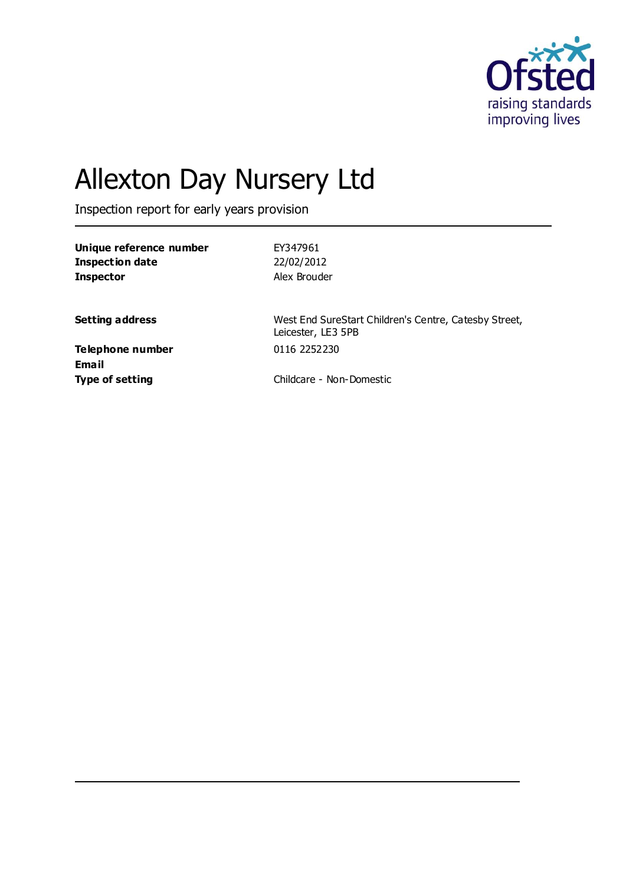

# Allexton Day Nursery Ltd

Inspection report for early years provision

| Unique reference number | EY347961     |
|-------------------------|--------------|
| Inspection date         | 22/02/2012   |
| <b>Inspector</b>        | Alex Brouder |

**Setting address** West End SureStart Children's Centre, Catesby Street, Leicester, LE3 5PB

**Telephone number** 0116 2252230 **Email**

**Type of setting** Childcare - Non-Domestic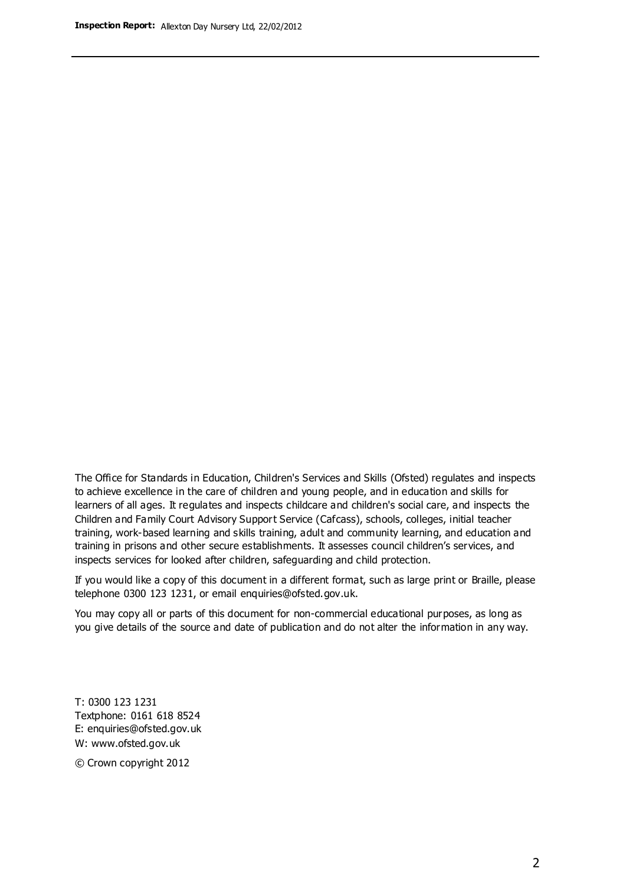The Office for Standards in Education, Children's Services and Skills (Ofsted) regulates and inspects to achieve excellence in the care of children and young people, and in education and skills for learners of all ages. It regulates and inspects childcare and children's social care, and inspects the Children and Family Court Advisory Support Service (Cafcass), schools, colleges, initial teacher training, work-based learning and skills training, adult and community learning, and education and training in prisons and other secure establishments. It assesses council children's services, and inspects services for looked after children, safeguarding and child protection.

If you would like a copy of this document in a different format, such as large print or Braille, please telephone 0300 123 1231, or email enquiries@ofsted.gov.uk.

You may copy all or parts of this document for non-commercial educational purposes, as long as you give details of the source and date of publication and do not alter the information in any way.

T: 0300 123 1231 Textphone: 0161 618 8524 E: enquiries@ofsted.gov.uk W: [www.ofsted.gov.uk](http://www.ofsted.gov.uk/)

© Crown copyright 2012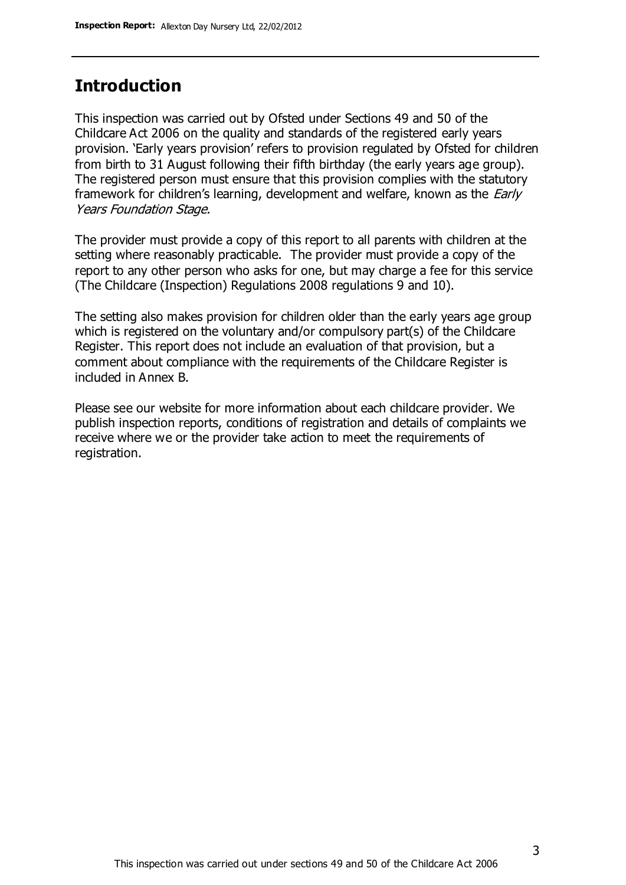### **Introduction**

This inspection was carried out by Ofsted under Sections 49 and 50 of the Childcare Act 2006 on the quality and standards of the registered early years provision. 'Early years provision' refers to provision regulated by Ofsted for children from birth to 31 August following their fifth birthday (the early years age group). The registered person must ensure that this provision complies with the statutory framework for children's learning, development and welfare, known as the *Early* Years Foundation Stage.

The provider must provide a copy of this report to all parents with children at the setting where reasonably practicable. The provider must provide a copy of the report to any other person who asks for one, but may charge a fee for this service (The Childcare (Inspection) Regulations 2008 regulations 9 and 10).

The setting also makes provision for children older than the early years age group which is registered on the voluntary and/or compulsory part(s) of the Childcare Register. This report does not include an evaluation of that provision, but a comment about compliance with the requirements of the Childcare Register is included in Annex B.

Please see our website for more information about each childcare provider. We publish inspection reports, conditions of registration and details of complaints we receive where we or the provider take action to meet the requirements of registration.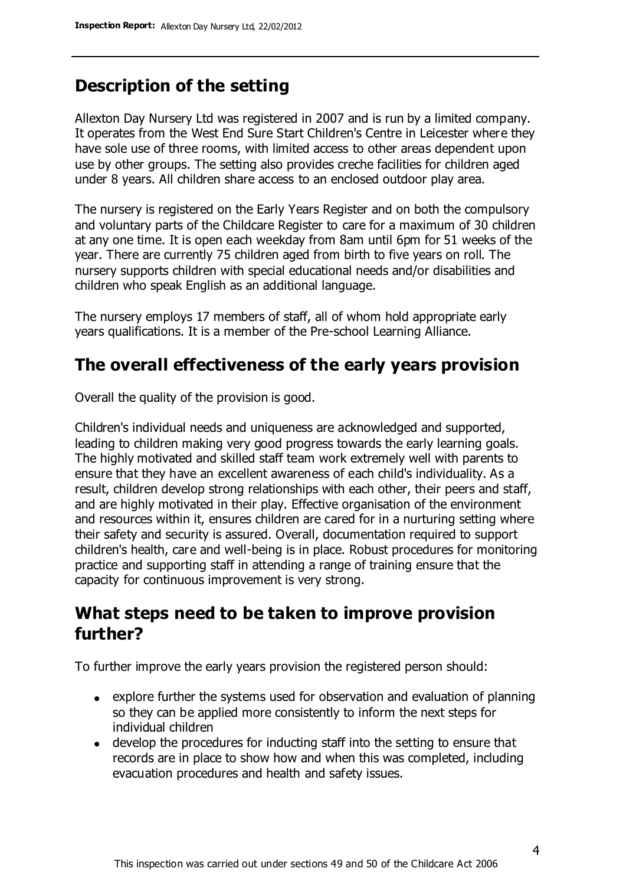# **Description of the setting**

Allexton Day Nursery Ltd was registered in 2007 and is run by a limited company. It operates from the West End Sure Start Children's Centre in Leicester where they have sole use of three rooms, with limited access to other areas dependent upon use by other groups. The setting also provides creche facilities for children aged under 8 years. All children share access to an enclosed outdoor play area.

The nursery is registered on the Early Years Register and on both the compulsory and voluntary parts of the Childcare Register to care for a maximum of 30 children at any one time. It is open each weekday from 8am until 6pm for 51 weeks of the year. There are currently 75 children aged from birth to five years on roll. The nursery supports children with special educational needs and/or disabilities and children who speak English as an additional language.

The nursery employs 17 members of staff, all of whom hold appropriate early years qualifications. It is a member of the Pre-school Learning Alliance.

# **The overall effectiveness of the early years provision**

Overall the quality of the provision is good.

Children's individual needs and uniqueness are acknowledged and supported, leading to children making very good progress towards the early learning goals. The highly motivated and skilled staff team work extremely well with parents to ensure that they have an excellent awareness of each child's individuality. As a result, children develop strong relationships with each other, their peers and staff, and are highly motivated in their play. Effective organisation of the environment and resources within it, ensures children are cared for in a nurturing setting where their safety and security is assured. Overall, documentation required to support children's health, care and well-being is in place. Robust procedures for monitoring practice and supporting staff in attending a range of training ensure that the capacity for continuous improvement is very strong.

## **What steps need to be taken to improve provision further?**

To further improve the early years provision the registered person should:

- explore further the systems used for observation and evaluation of planning so they can be applied more consistently to inform the next steps for individual children
- develop the procedures for inducting staff into the setting to ensure that records are in place to show how and when this was completed, including evacuation procedures and health and safety issues.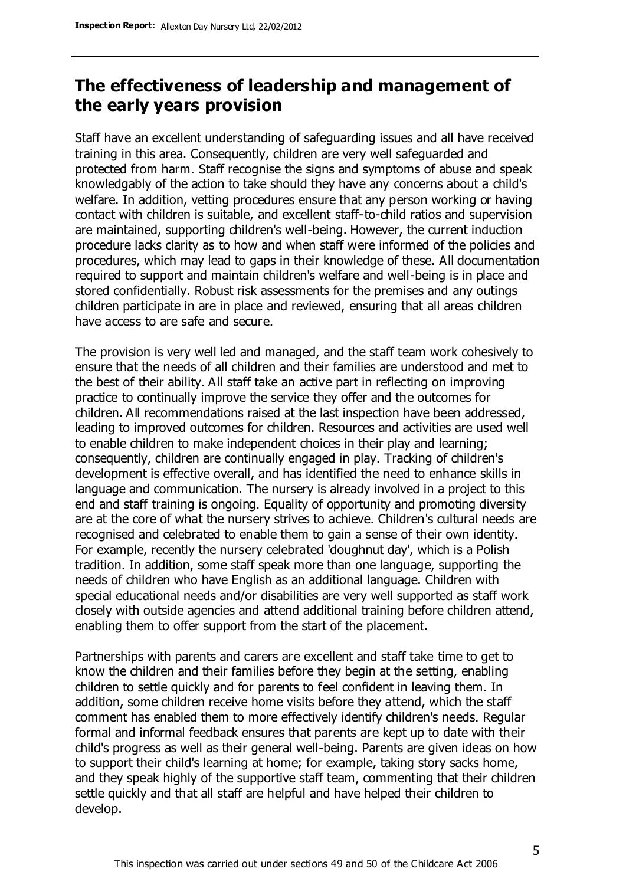## **The effectiveness of leadership and management of the early years provision**

Staff have an excellent understanding of safeguarding issues and all have received training in this area. Consequently, children are very well safeguarded and protected from harm. Staff recognise the signs and symptoms of abuse and speak knowledgably of the action to take should they have any concerns about a child's welfare. In addition, vetting procedures ensure that any person working or having contact with children is suitable, and excellent staff-to-child ratios and supervision are maintained, supporting children's well-being. However, the current induction procedure lacks clarity as to how and when staff were informed of the policies and procedures, which may lead to gaps in their knowledge of these. All documentation required to support and maintain children's welfare and well-being is in place and stored confidentially. Robust risk assessments for the premises and any outings children participate in are in place and reviewed, ensuring that all areas children have access to are safe and secure.

The provision is very well led and managed, and the staff team work cohesively to ensure that the needs of all children and their families are understood and met to the best of their ability. All staff take an active part in reflecting on improving practice to continually improve the service they offer and the outcomes for children. All recommendations raised at the last inspection have been addressed, leading to improved outcomes for children. Resources and activities are used well to enable children to make independent choices in their play and learning; consequently, children are continually engaged in play. Tracking of children's development is effective overall, and has identified the need to enhance skills in language and communication. The nursery is already involved in a project to this end and staff training is ongoing. Equality of opportunity and promoting diversity are at the core of what the nursery strives to achieve. Children's cultural needs are recognised and celebrated to enable them to gain a sense of their own identity. For example, recently the nursery celebrated 'doughnut day', which is a Polish tradition. In addition, some staff speak more than one language, supporting the needs of children who have English as an additional language. Children with special educational needs and/or disabilities are very well supported as staff work closely with outside agencies and attend additional training before children attend, enabling them to offer support from the start of the placement.

Partnerships with parents and carers are excellent and staff take time to get to know the children and their families before they begin at the setting, enabling children to settle quickly and for parents to feel confident in leaving them. In addition, some children receive home visits before they attend, which the staff comment has enabled them to more effectively identify children's needs. Regular formal and informal feedback ensures that parents are kept up to date with their child's progress as well as their general well-being. Parents are given ideas on how to support their child's learning at home; for example, taking story sacks home, and they speak highly of the supportive staff team, commenting that their children settle quickly and that all staff are helpful and have helped their children to develop.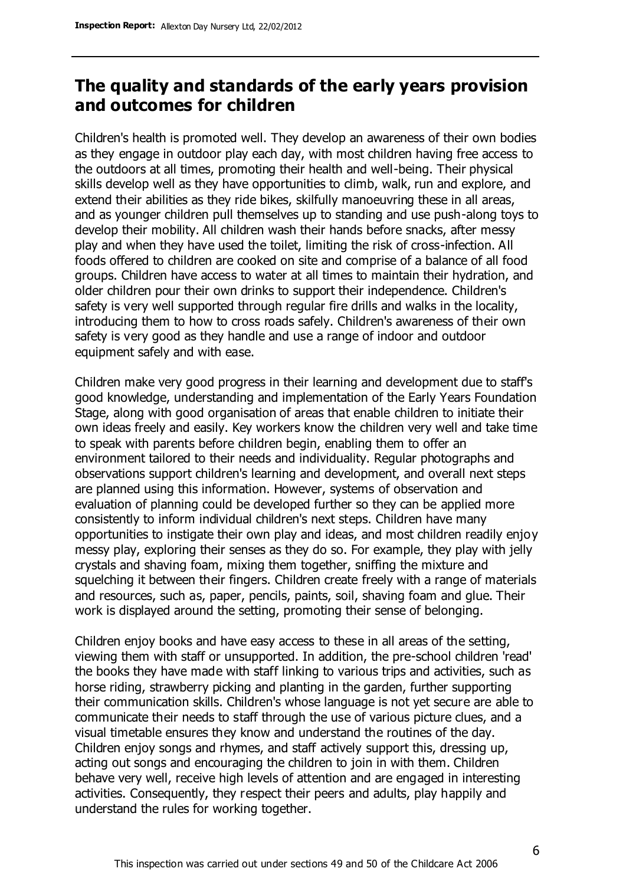### **The quality and standards of the early years provision and outcomes for children**

Children's health is promoted well. They develop an awareness of their own bodies as they engage in outdoor play each day, with most children having free access to the outdoors at all times, promoting their health and well-being. Their physical skills develop well as they have opportunities to climb, walk, run and explore, and extend their abilities as they ride bikes, skilfully manoeuvring these in all areas, and as younger children pull themselves up to standing and use push-along toys to develop their mobility. All children wash their hands before snacks, after messy play and when they have used the toilet, limiting the risk of cross-infection. All foods offered to children are cooked on site and comprise of a balance of all food groups. Children have access to water at all times to maintain their hydration, and older children pour their own drinks to support their independence. Children's safety is very well supported through regular fire drills and walks in the locality, introducing them to how to cross roads safely. Children's awareness of their own safety is very good as they handle and use a range of indoor and outdoor equipment safely and with ease.

Children make very good progress in their learning and development due to staff's good knowledge, understanding and implementation of the Early Years Foundation Stage, along with good organisation of areas that enable children to initiate their own ideas freely and easily. Key workers know the children very well and take time to speak with parents before children begin, enabling them to offer an environment tailored to their needs and individuality. Regular photographs and observations support children's learning and development, and overall next steps are planned using this information. However, systems of observation and evaluation of planning could be developed further so they can be applied more consistently to inform individual children's next steps. Children have many opportunities to instigate their own play and ideas, and most children readily enjoy messy play, exploring their senses as they do so. For example, they play with jelly crystals and shaving foam, mixing them together, sniffing the mixture and squelching it between their fingers. Children create freely with a range of materials and resources, such as, paper, pencils, paints, soil, shaving foam and glue. Their work is displayed around the setting, promoting their sense of belonging.

Children enjoy books and have easy access to these in all areas of the setting, viewing them with staff or unsupported. In addition, the pre-school children 'read' the books they have made with staff linking to various trips and activities, such as horse riding, strawberry picking and planting in the garden, further supporting their communication skills. Children's whose language is not yet secure are able to communicate their needs to staff through the use of various picture clues, and a visual timetable ensures they know and understand the routines of the day. Children enjoy songs and rhymes, and staff actively support this, dressing up, acting out songs and encouraging the children to join in with them. Children behave very well, receive high levels of attention and are engaged in interesting activities. Consequently, they respect their peers and adults, play happily and understand the rules for working together.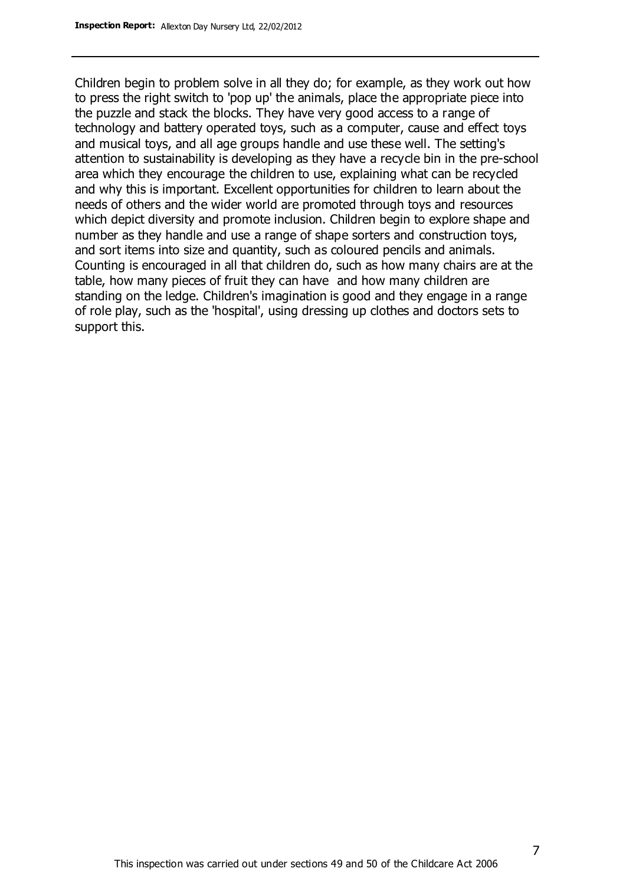Children begin to problem solve in all they do; for example, as they work out how to press the right switch to 'pop up' the animals, place the appropriate piece into the puzzle and stack the blocks. They have very good access to a range of technology and battery operated toys, such as a computer, cause and effect toys and musical toys, and all age groups handle and use these well. The setting's attention to sustainability is developing as they have a recycle bin in the pre-school area which they encourage the children to use, explaining what can be recycled and why this is important. Excellent opportunities for children to learn about the needs of others and the wider world are promoted through toys and resources which depict diversity and promote inclusion. Children begin to explore shape and number as they handle and use a range of shape sorters and construction toys, and sort items into size and quantity, such as coloured pencils and animals. Counting is encouraged in all that children do, such as how many chairs are at the table, how many pieces of fruit they can have and how many children are standing on the ledge. Children's imagination is good and they engage in a range of role play, such as the 'hospital', using dressing up clothes and doctors sets to support this.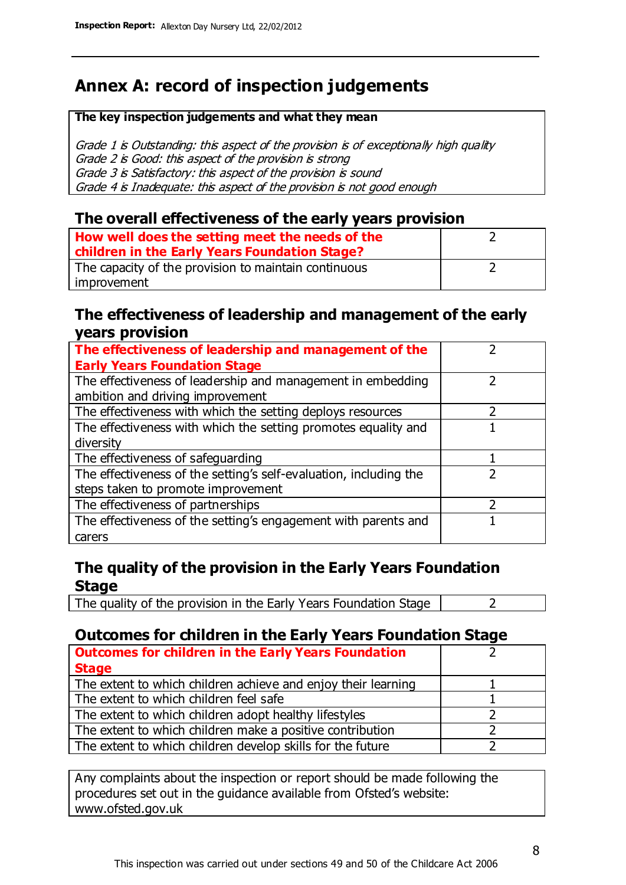# **Annex A: record of inspection judgements**

#### **The key inspection judgements and what they mean**

Grade 1 is Outstanding: this aspect of the provision is of exceptionally high quality Grade 2 is Good: this aspect of the provision is strong Grade 3 is Satisfactory: this aspect of the provision is sound Grade 4 is Inadequate: this aspect of the provision is not good enough

#### **The overall effectiveness of the early years provision**

| How well does the setting meet the needs of the      |  |
|------------------------------------------------------|--|
| children in the Early Years Foundation Stage?        |  |
| The capacity of the provision to maintain continuous |  |
| improvement                                          |  |

#### **The effectiveness of leadership and management of the early years provision**

| The effectiveness of leadership and management of the             |  |
|-------------------------------------------------------------------|--|
| <b>Early Years Foundation Stage</b>                               |  |
| The effectiveness of leadership and management in embedding       |  |
| ambition and driving improvement                                  |  |
| The effectiveness with which the setting deploys resources        |  |
| The effectiveness with which the setting promotes equality and    |  |
| diversity                                                         |  |
| The effectiveness of safeguarding                                 |  |
| The effectiveness of the setting's self-evaluation, including the |  |
| steps taken to promote improvement                                |  |
| The effectiveness of partnerships                                 |  |
| The effectiveness of the setting's engagement with parents and    |  |
| carers                                                            |  |

#### **The quality of the provision in the Early Years Foundation Stage**

The quality of the provision in the Early Years Foundation Stage  $\vert$  2

### **Outcomes for children in the Early Years Foundation Stage**

| <b>Outcomes for children in the Early Years Foundation</b>    |  |
|---------------------------------------------------------------|--|
| <b>Stage</b>                                                  |  |
| The extent to which children achieve and enjoy their learning |  |
| The extent to which children feel safe                        |  |
| The extent to which children adopt healthy lifestyles         |  |
| The extent to which children make a positive contribution     |  |
| The extent to which children develop skills for the future    |  |

Any complaints about the inspection or report should be made following the procedures set out in the guidance available from Ofsted's website: www.ofsted.gov.uk